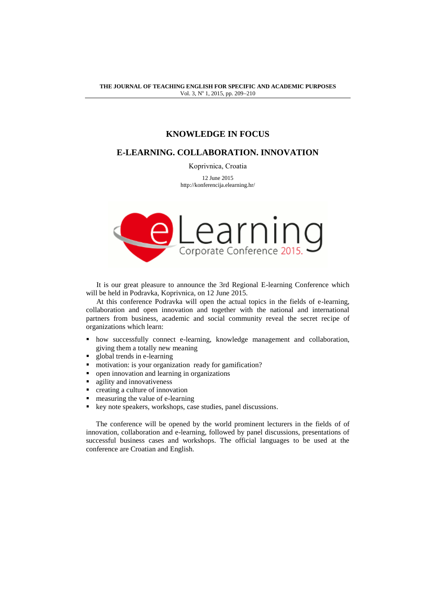**THE JOURNAL OF TEACHING ENGLISH FOR SPECIFIC AND ACADEMIC PURPOSES** Vol. 3, Nº 1, 2015, pp. 209-210

# **KNOWLEDGE IN FOCUS**

## **E-LEARNING. COLLABORATION. INNOVATION**

Koprivnica, Croatia

12 June 2015 http://konferencija.elearning.hr/



It is our great pleasure to announce the 3rd Regional E-learning Conference which will be held in Podravka, Koprivnica, on 12 June 2015.

At this conference Podravka will open the actual topics in the fields of e-learning, collaboration and open innovation and together with the national and international partners from business, academic and social community reveal the secret recipe of organizations which learn:

- how successfully connect e-learning, knowledge management and collaboration, giving them a totally new meaning
- global trends in e-learning
- motivation: is your organization ready for gamification?
- open innovation and learning in organizations
- **agility and innovativeness**
- creating a culture of innovation
- measuring the value of e-learning
- key note speakers, workshops, case studies, panel discussions.

The conference will be opened by the world prominent lecturers in the fields of of innovation, collaboration and e-learning, followed by panel discussions, presentations of successful business cases and workshops. The official languages to be used at the conference are Croatian and English.